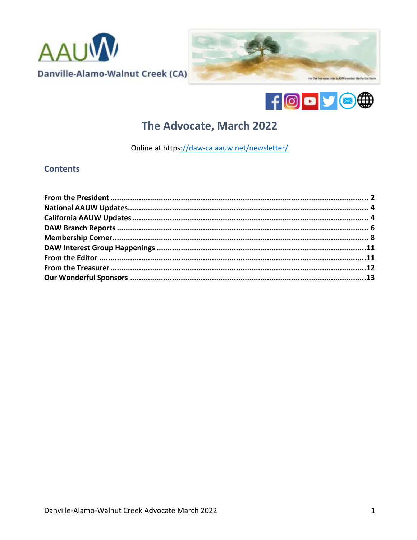





# The Advocate, March 2022

Online at https://daw-ca.aauw.net/newsletter/

## **Contents**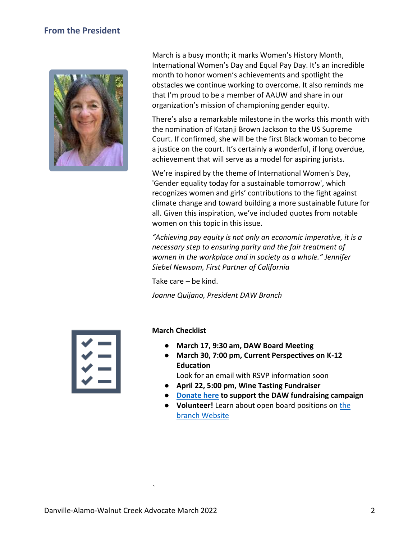<span id="page-1-0"></span>

March is a busy month; it marks Women's History Month, International Women's Day and Equal Pay Day. It's an incredible month to honor women's achievements and spotlight the obstacles we continue working to overcome. It also reminds me that I'm proud to be a member of AAUW and share in our organization's mission of championing gender equity.

There's also a remarkable milestone in the works this month with the nomination of Katanji Brown Jackson to the US Supreme Court. If confirmed, she will be the first Black woman to become a justice on the court. It's certainly a wonderful, if long overdue, achievement that will serve as a model for aspiring jurists.

We're inspired by the theme of International Women's Day, 'Gender equality today for a sustainable tomorrow', which recognizes women and girls' contributions to the fight against climate change and toward building a more sustainable future for all. Given this inspiration, we've included quotes from notable women on this topic in this issue.

*"Achieving pay equity is not only an economic imperative, it is a necessary step to ensuring parity and the fair treatment of women in the workplace and in society as a whole." Jennifer Siebel Newsom, First Partner of California*

Take care – be kind.

*Joanne Quijano, President DAW Branch*

#### **March Checklist**

- **March 17, 9:30 am, DAW Board Meeting**
- **March 30, 7:00 pm, Current Perspectives on K-12 Education**

Look for an email with RSVP information soon

- **April 22, 5:00 pm, Wine Tasting Fundraiser**
- **[Donate here](https://daw-ca.aauw.net/donate/) to support the DAW fundraising campaign**
- **Volunteer!** Learn about open board positions on [the](https://daw-ca.aauw.net/volunteers-needed/)  [branch Website](https://daw-ca.aauw.net/volunteers-needed/)

*`*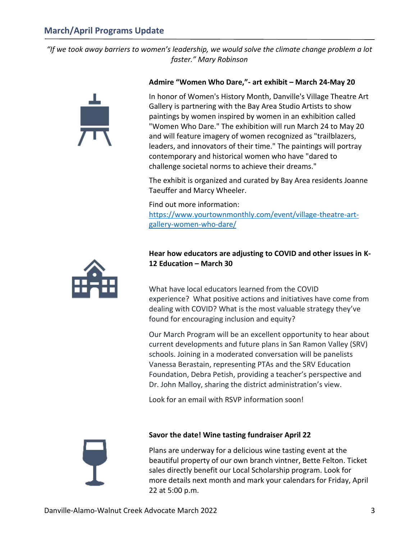# **March/April Programs Update**

*"If we took away barriers to women's leadership, we would solve the climate change problem a lot faster." Mary Robinson*



#### **Admire "Women Who Dare,"- art exhibit – March 24-May 20**

In honor of Women's History Month, Danville's Village Theatre Art Gallery is partnering with the Bay Area Studio Artists to show paintings by women inspired by women in an exhibition called "Women Who Dare." The exhibition will run March 24 to May 20 and will feature imagery of women recognized as "trailblazers, leaders, and innovators of their time." The paintings will portray contemporary and historical women who have "dared to challenge societal norms to achieve their dreams."

The exhibit is organized and curated by Bay Area residents Joanne Taeuffer and Marcy Wheeler.

Find out more information: [https://www.yourtownmonthly.com/event/village-theatre-art](https://www.yourtownmonthly.com/event/village-theatre-art-gallery-women-who-dare/)[gallery-women-who-dare/](https://www.yourtownmonthly.com/event/village-theatre-art-gallery-women-who-dare/)



## **Hear how educators are adjusting to COVID and other issues in K-12 Education – March 30**

What have local educators learned from the COVID experience? What positive actions and initiatives have come from dealing with COVID? What is the most valuable strategy they've found for encouraging inclusion and equity?

Our March Program will be an excellent opportunity to hear about current developments and future plans in San Ramon Valley (SRV) schools. Joining in a moderated conversation will be panelists Vanessa Berastain, representing PTAs and the SRV Education Foundation, Debra Petish, providing a teacher's perspective and Dr. John Malloy, sharing the district administration's view.

Look for an email with RSVP information soon!



#### **Savor the date! Wine tasting fundraiser April 22**

Plans are underway for a delicious wine tasting event at the beautiful property of our own branch vintner, Bette Felton. Ticket sales directly benefit our Local Scholarship program. Look for more details next month and mark your calendars for Friday, April 22 at 5:00 p.m.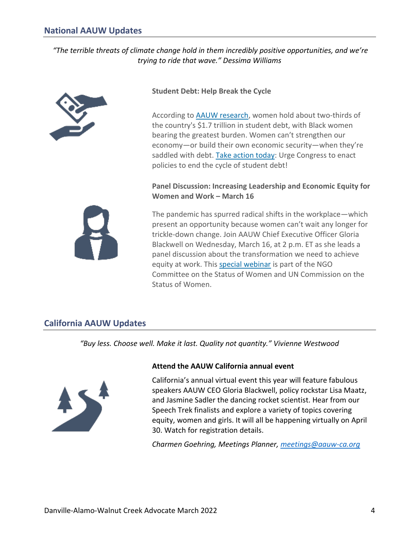# <span id="page-3-0"></span>**National AAUW Updates**

## *"The terrible threats of climate change hold in them incredibly positive opportunities, and we're trying to ride that wave." Dessima Williams*



## **Student Debt: Help Break the Cycle**

According to [AAUW research,](https://click.everyaction.com/k/41923228/330903557/1002403251?nvep=ew0KICAiVGVuYW50VXJpIjogIm5ncHZhbjovL3Zhbi9FQS9FQTAwNS8xLzc2OTU1IiwNCiAgIkRpc3RyaWJ1dGlvblVuaXF1ZUlkIjogImIwYTA1Yzk1LTNiOTAtZWMxMS1hNTA3LTI4MTg3OGI4M2Q4YSIsDQogICJFbWFpbEFkZHJlc3MiOiAianRxQHNiY2dsb2JhbC5uZXQiDQp9&hmac=FTJMWy4dDR__8vvW-4Nz5rMWMHCr311ql0DzmL8y7A4=&emci=6c4746d9-1590-ec11-a507-281878b83d8a&emdi=b0a05c95-3b90-ec11-a507-281878b83d8a&ceid=997828) women hold about two-thirds of the country's \$1.7 trillion in student debt, with Black women bearing the greatest burden. Women can't strengthen our economy—or build their own economic security—when they're saddled with debt. [Take action today:](https://click.everyaction.com/k/41923229/330903559/-889826437?nvep=ew0KICAiVGVuYW50VXJpIjogIm5ncHZhbjovL3Zhbi9FQS9FQTAwNS8xLzc2OTU1IiwNCiAgIkRpc3RyaWJ1dGlvblVuaXF1ZUlkIjogImIwYTA1Yzk1LTNiOTAtZWMxMS1hNTA3LTI4MTg3OGI4M2Q4YSIsDQogICJFbWFpbEFkZHJlc3MiOiAianRxQHNiY2dsb2JhbC5uZXQiDQp9&hmac=FTJMWy4dDR__8vvW-4Nz5rMWMHCr311ql0DzmL8y7A4=&emci=6c4746d9-1590-ec11-a507-281878b83d8a&emdi=b0a05c95-3b90-ec11-a507-281878b83d8a&ceid=997828) Urge Congress to enact policies to end the cycle of student debt!

## **Panel Discussion: Increasing Leadership and Economic Equity for Women and Work – March 16**

The pandemic has spurred radical shifts in the workplace—which present an opportunity because women can't wait any longer for trickle-down change. Join AAUW Chief Executive Officer Gloria Blackwell on Wednesday, March 16, at 2 p.m. ET as she leads a panel discussion about the transformation we need to achieve equity at work. This [special webinar](https://click.everyaction.com/k/41923231/330903561/654153147?nvep=ew0KICAiVGVuYW50VXJpIjogIm5ncHZhbjovL3Zhbi9FQS9FQTAwNS8xLzc2OTU1IiwNCiAgIkRpc3RyaWJ1dGlvblVuaXF1ZUlkIjogImIwYTA1Yzk1LTNiOTAtZWMxMS1hNTA3LTI4MTg3OGI4M2Q4YSIsDQogICJFbWFpbEFkZHJlc3MiOiAianRxQHNiY2dsb2JhbC5uZXQiDQp9&hmac=FTJMWy4dDR__8vvW-4Nz5rMWMHCr311ql0DzmL8y7A4=&emci=6c4746d9-1590-ec11-a507-281878b83d8a&emdi=b0a05c95-3b90-ec11-a507-281878b83d8a&ceid=997828) is part of the NGO Committee on the Status of Women and UN Commission on the Status of Women.

# <span id="page-3-1"></span>**California AAUW Updates**

*"Buy less. Choose well. Make it last. Quality not quantity." Vivienne Westwood*



#### **Attend the AAUW California annual event**

California's annual virtual event this year will feature fabulous speakers AAUW CEO Gloria Blackwell, policy rockstar Lisa Maatz, and Jasmine Sadler the dancing rocket scientist. Hear from our Speech Trek finalists and explore a variety of topics covering equity, women and girls. It will all be happening virtually on April 30. Watch for registration details.

*Charmen Goehring, Meetings Planner, [meetings@aauw-ca.org](mailto:meetings@aauw-ca.org)*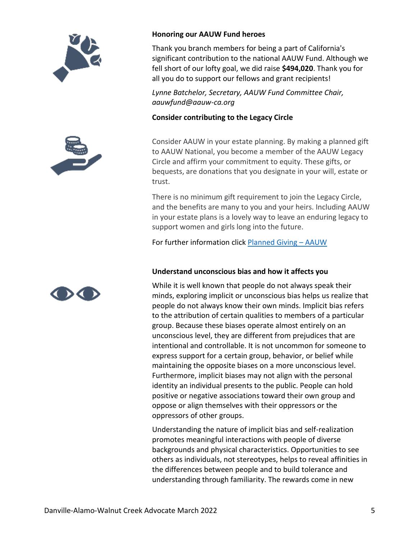





Thank you branch members for being a part of California's significant contribution to the national AAUW Fund. Although we fell short of our lofty goal, we did raise **\$494,020**. Thank you for all you do to support our fellows and grant recipients!

*Lynne Batchelor, Secretary, AAUW Fund Committee Chair, aauwfund@aauw-ca.org* 

#### **Consider contributing to the Legacy Circle**

Consider AAUW in your estate planning. By making a planned gift to AAUW National, you become a member of the AAUW Legacy Circle and affirm your commitment to equity. These gifts, or bequests, are donations that you designate in your will, estate or trust.

There is no minimum gift requirement to join the Legacy Circle, and the benefits are many to you and your heirs. Including AAUW in your estate plans is a lovely way to leave an enduring legacy to support women and girls long into the future.

For further information click [Planned Giving](https://www.aauw.org/resources/member/support-aauw/leave-a-legacy/) – AAUW

## **Understand unconscious bias and how it affects you**

While it is well known that people do not always speak their minds, exploring implicit or unconscious bias helps us realize that people do not always know their own minds. Implicit bias refers to the attribution of certain qualities to members of a particular group. Because these biases operate almost entirely on an unconscious level, they are different from prejudices that are intentional and controllable. It is not uncommon for someone to express support for a certain group, behavior, or belief while maintaining the opposite biases on a more unconscious level. Furthermore, implicit biases may not align with the personal identity an individual presents to the public. People can hold positive or negative associations toward their own group and oppose or align themselves with their oppressors or the oppressors of other groups.

Understanding the nature of implicit bias and self-realization promotes meaningful interactions with people of diverse backgrounds and physical characteristics. Opportunities to see others as individuals, not stereotypes, helps to reveal affinities in the differences between people and to build tolerance and understanding through familiarity. The rewards come in new

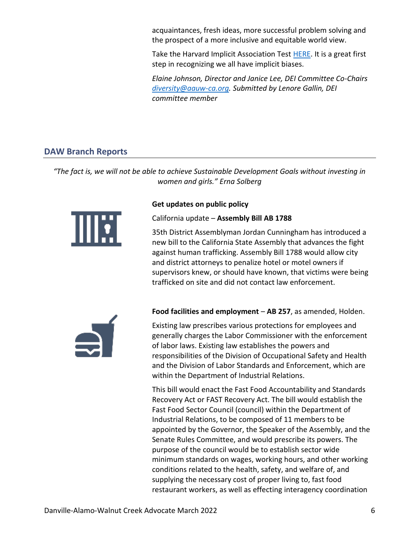acquaintances, fresh ideas, more successful problem solving and the prospect of a more inclusive and equitable world view.

Take the Harvard Implicit Association Test [HERE.](https://implicit.harvard.edu/implicit/) It is a great first step in recognizing we all have implicit biases.

*Elaine Johnson, Director and Janice Lee, DEI Committee Co-Chairs [diversity@aauw-ca.org.](mailto:diversity@aauw-ca.org) Submitted by Lenore Gallin, DEI committee member* 

# <span id="page-5-0"></span>**DAW Branch Reports**

*"The fact is, we will not be able to achieve Sustainable Development Goals without investing in women and girls." Erna Solberg*



#### **Get updates on public policy**

California update – **Assembly Bill AB 1788**

35th District Assemblyman Jordan Cunningham has introduced a new bill to the California State Assembly that advances the fight against human trafficking. Assembly Bill 1788 would allow city and district attorneys to penalize hotel or motel owners if supervisors knew, or should have known, that victims were being trafficked on site and did not contact law enforcement.



**Food facilities and employment** – **AB 257**, as amended, Holden.

Existing law prescribes various protections for employees and generally charges the Labor Commissioner with the enforcement of labor laws. Existing law establishes the powers and responsibilities of the Division of Occupational Safety and Health and the Division of Labor Standards and Enforcement, which are within the Department of Industrial Relations.

This bill would enact the Fast Food Accountability and Standards Recovery Act or FAST Recovery Act. The bill would establish the Fast Food Sector Council (council) within the Department of Industrial Relations, to be composed of 11 members to be appointed by the Governor, the Speaker of the Assembly, and the Senate Rules Committee, and would prescribe its powers. The purpose of the council would be to establish sector wide minimum standards on wages, working hours, and other working conditions related to the health, safety, and welfare of, and supplying the necessary cost of proper living to, fast food restaurant workers, as well as effecting interagency coordination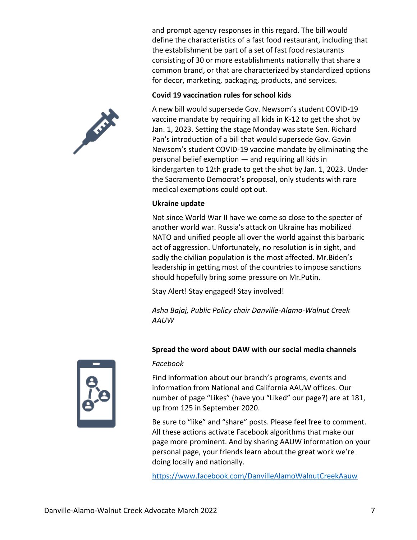and prompt agency responses in this regard. The bill would define the characteristics of a fast food restaurant, including that the establishment be part of a set of fast food restaurants consisting of 30 or more establishments nationally that share a common brand, or that are characterized by standardized options for decor, marketing, packaging, products, and services.

## **Covid 19 vaccination rules for school kids**

A new bill would supersede Gov. Newsom's student COVID-19 vaccine mandate by requiring all kids in K-12 to get the shot by Jan. 1, 2023. Setting the stage Monday was state Sen. Richard Pan's introduction of a bill that would supersede Gov. Gavin Newsom's student COVID-19 vaccine mandate by eliminating the personal belief exemption — and requiring all kids in kindergarten to 12th grade to get the shot by Jan. 1, 2023. Under the Sacramento Democrat's proposal, only students with rare medical exemptions could opt out.

## **Ukraine update**

Not since World War II have we come so close to the specter of another world war. Russia's attack on Ukraine has mobilized NATO and unified people all over the world against this barbaric act of aggression. Unfortunately, no resolution is in sight, and sadly the civilian population is the most affected. Mr.Biden's leadership in getting most of the countries to impose sanctions should hopefully bring some pressure on Mr.Putin.

Stay Alert! Stay engaged! Stay involved!

*Asha Bajaj, Public Policy chair Danville-Alamo-Walnut Creek AAUW*

# **Spread the word about DAW with our social media channels**

#### *Facebook*

Find information about our branch's programs, events and information from National and California AAUW offices. Our number of page "Likes" (have you "Liked" our page?) are at 181, up from 125 in September 2020.

Be sure to "like" and "share" posts. Please feel free to comment. All these actions activate Facebook algorithms that make our page more prominent. And by sharing AAUW information on your personal page, your friends learn about the great work we're doing locally and nationally.

<https://www.facebook.com/DanvilleAlamoWalnutCreekAauw>



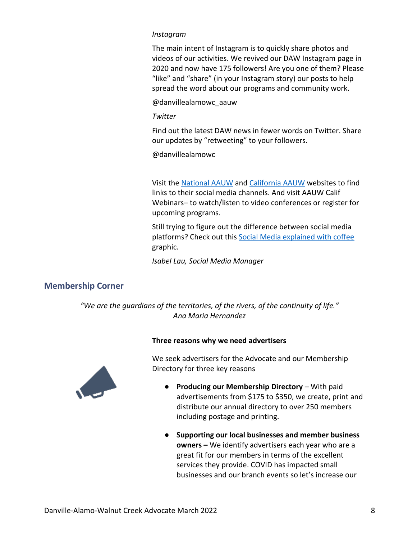#### *Instagram*

The main intent of Instagram is to quickly share photos and videos of our activities. We revived our DAW Instagram page in 2020 and now have 175 followers! Are you one of them? Please "like" and "share" (in your Instagram story) our posts to help spread the word about our programs and community work.

@danvillealamowc\_aauw

#### *Twitter*

Find out the latest DAW news in fewer words on Twitter. Share our updates by "retweeting" to your followers.

@danvillealamowc

Visit the [National AAUW](https://www.aauw.org/) and [California AAUW](https://www.aauw-ca.org/) websites to find links to their social media channels. And visit AAUW Calif Webinars– to watch/listen to video conferences or register for upcoming programs.

Still trying to figure out the difference between social media platforms? Check out this [Social Media explained with coffee](https://www.brandconstructors.com/social-media-explained-with-coffee/) graphic.

*Isabel Lau, Social Media Manager*

# <span id="page-7-0"></span>**Membership Corner**

*"We are the guardians of the territories, of the rivers, of the continuity of life." Ana Maria Hernandez*

#### **Three reasons why we need advertisers**



We seek advertisers for the Advocate and our Membership Directory for three key reasons

- **Producing our Membership Directory** With paid advertisements from \$175 to \$350, we create, print and distribute our annual directory to over 250 members including postage and printing.
- **Supporting our local businesses and member business owners –** We identify advertisers each year who are a great fit for our members in terms of the excellent services they provide. COVID has impacted small businesses and our branch events so let's increase our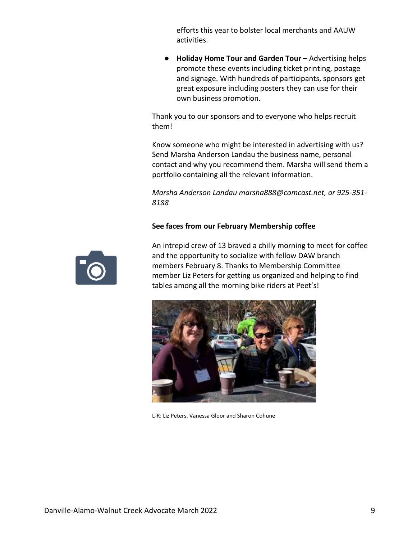efforts this year to bolster local merchants and AAUW activities.

**Holiday Home Tour and Garden Tour - Advertising helps** promote these events including ticket printing, postage and signage. With hundreds of participants, sponsors get great exposure including posters they can use for their own business promotion.

Thank you to our sponsors and to everyone who helps recruit them!

Know someone who might be interested in advertising with us? Send Marsha Anderson Landau the business name, personal contact and why you recommend them. Marsha will send them a portfolio containing all the relevant information.

*Marsha Anderson Landau marsha888@comcast.net, or 925-351- 8188*

## **See faces from our February Membership coffee**



An intrepid crew of 13 braved a chilly morning to meet for coffee and the opportunity to socialize with fellow DAW branch members February 8. Thanks to Membership Committee member Liz Peters for getting us organized and helping to find tables among all the morning bike riders at Peet's!



L-R: Liz Peters, Vanessa Gloor and Sharon Cohune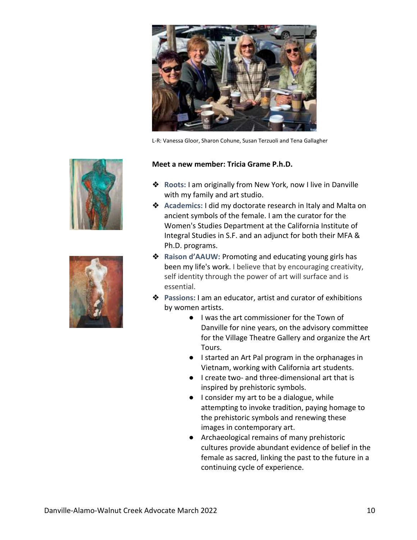

L-R: Vanessa Gloor, Sharon Cohune, Susan Terzuoli and Tena Gallagher





#### **Meet a new member: Tricia Grame P.h.D.**

- ❖ **Roots:** I am originally from New York, now I live in Danville with my family and art studio.
- ❖ **Academics:** I did my doctorate research in Italy and Malta on ancient symbols of the female. I am the curator for the Women's Studies Department at the California Institute of Integral Studies in S.F. and an adjunct for both their MFA & Ph.D. programs.
- ❖ **Raison d'AAUW:** Promoting and educating young girls has been my life's work. I believe that by encouraging creativity, self identity through the power of art will surface and is essential.
- ❖ **Passions:** I am an educator, artist and curator of exhibitions by women artists.
	- I was the art commissioner for the Town of Danville for nine years, on the advisory committee for the Village Theatre Gallery and organize the Art Tours.
	- I started an Art Pal program in the orphanages in Vietnam, working with California art students.
	- I create two- and three-dimensional art that is inspired by prehistoric symbols.
	- I consider my art to be a dialogue, while attempting to invoke tradition, paying homage to the prehistoric symbols and renewing these images in contemporary art.
	- Archaeological remains of many prehistoric cultures provide abundant evidence of belief in the female as sacred, linking the past to the future in a continuing cycle of experience.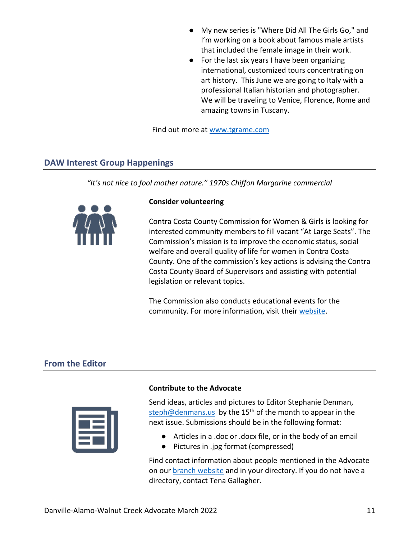- My new series is "Where Did All The Girls Go," and I'm working on a book about famous male artists that included the female image in their work.
- For the last six years I have been organizing international, customized tours concentrating on art history. This June we are going to Italy with a professional Italian historian and photographer. We will be traveling to Venice, Florence, Rome and amazing towns in Tuscany.

Find out more at [www.tgrame.com](http://www.tgrame.com/) 

## <span id="page-10-0"></span>**DAW Interest Group Happenings**

*"It's not nice to fool mother nature." 1970s Chiffon Margarine commercial* 



#### **Consider volunteering**

Contra Costa County Commission for Women & Girls is looking for interested community members to fill vacant "At Large Seats". The Commission's mission is to improve the economic status, social welfare and overall quality of life for women in Contra Costa County. One of the commission's key actions is advising the Contra Costa County Board of Supervisors and assisting with potential legislation or relevant topics.

The Commission also conducts educational events for the community. For more information, visit their [website.](https://r20.rs6.net/tn.jsp?f=0013TAUI28qWFVNMpA1Y-zYJKy9S9PZJApH1bcI1x6D6A0pL2IBd93GYJQLmBWDuXR1ZYphUl22PH90CvKFNSQsNzfb12eRUUeyIq5uVi_Jk1n4dYWDXjg-QMmL7JJKfpK66HZ8Z5guy4Q06GJxLgACnUPIYkhgL7dZdjrjDr9-nbs=&c=veEs-sMVvqygzBXZ4xj9XM8Ztr2w6QmIkECnO49-J8e3h7x4Sxunnw==&ch=uygXXRzl7Nh9QyI0SMxvtT2gcnhLHo_v2Pk5EqkpL5gmbYmsmsUSiA==)

# <span id="page-10-1"></span>**From the Editor**



#### **Contribute to the Advocate**

Send ideas, articles and pictures to Editor Stephanie Denman, [steph@denmans.us](mailto:steph@denmans.us) by the  $15<sup>th</sup>$  of the month to appear in the next issue. Submissions should be in the following format:

- Articles in a .doc or .docx file, or in the body of an email
- Pictures in .jpg format (compressed)

Find contact information about people mentioned in the Advocate on ou[r branch website](https://daw-ca.aauw.net/) and in your directory. If you do not have a directory, contact Tena Gallagher.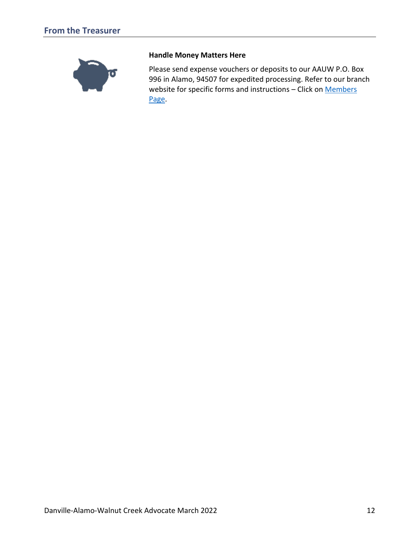<span id="page-11-0"></span>

#### **Handle Money Matters Here**

Please send expense vouchers or deposits to our AAUW P.O. Box 996 in Alamo, 94507 for expedited processing. Refer to our branch website for specific forms and instructions - Click on Members [Page.](https://daw-ca.aauw.net/members/members-only/)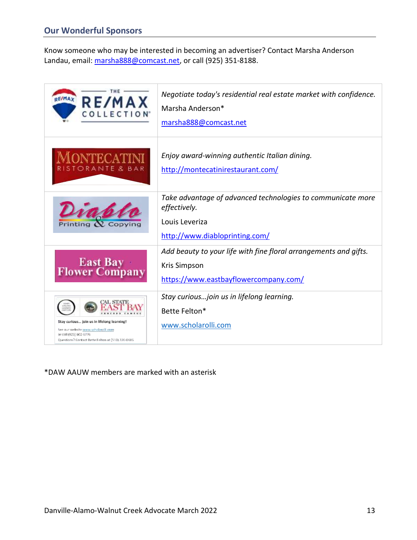<span id="page-12-0"></span>Know someone who may be interested in becoming an advertiser? Contact Marsha Anderson Landau, email[: marsha888@comcast.net,](mailto:marsha888@comcast.net) or call (925) 351-8188.

| <b>RE/MAX</b><br><b>RE/MAX</b><br><b>COLLECTION</b>                                                                                                              | Negotiate today's residential real estate market with confidence.<br>Marsha Anderson*<br>marsha888@comcast.net                   |
|------------------------------------------------------------------------------------------------------------------------------------------------------------------|----------------------------------------------------------------------------------------------------------------------------------|
| )NTFCA<br>ORANTE & BAR                                                                                                                                           | Enjoy award-winning authentic Italian dining.<br>http://montecatinirestaurant.com/                                               |
| Printing <i>N</i> . Copving                                                                                                                                      | Take advantage of advanced technologies to communicate more<br>effectively.<br>Louis Leveriza<br>http://www.diabloprinting.com/  |
| <b>East Bay<br/>Flower Company</b>                                                                                                                               | Add beauty to your life with fine floral arrangements and gifts.<br><b>Kris Simpson</b><br>https://www.eastbayflowercompany.com/ |
| Stay curious join us in lifelong learning!<br>See our website www.scholarolli.com<br>or call (925) 602-6776<br>Questions? Contact Bette Felton at (510) 220-0485 | Stay curious join us in lifelong learning.<br>Bette Felton*<br>www.scholarolli.com                                               |

\*DAW AAUW members are marked with an asterisk